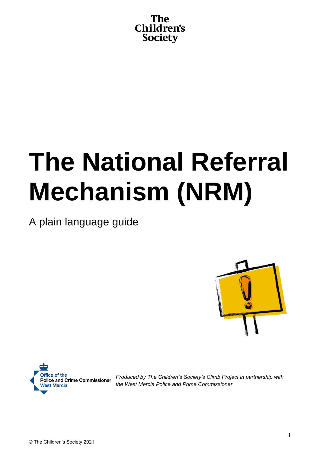

# **The National Referral Mechanism (NRM)**

A plain language guide





*Produced by The Children's Society's Climb Project in partnership with the West Mercia Police and Prime Commissioner*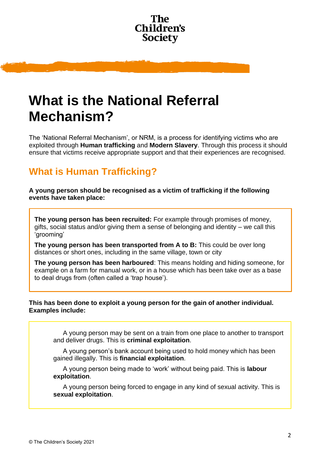

## **What is the National Referral Mechanism?**

The 'National Referral Mechanism', or NRM, is a process for identifying victims who are exploited through **Human trafficking** and **Modern Slavery**. Through this process it should ensure that victims receive appropriate support and that their experiences are recognised.

### **What is Human Trafficking?**

**A young person should be recognised as a victim of trafficking if the following events have taken place:**

**The young person has been recruited:** For example through promises of money, gifts, social status and/or giving them a sense of belonging and identity – we call this 'grooming'

**The young person has been transported from A to B:** This could be over long distances or short ones, including in the same village, town or city

**The young person has been harboured**: This means holding and hiding someone, for example on a farm for manual work, or in a house which has been take over as a base to deal drugs from (often called a 'trap house').

#### **This has been done to exploit a young person for the gain of another individual. Examples include:**

A young person may be sent on a train from one place to another to transport and deliver drugs. This is **criminal exploitation**.

A young person's bank account being used to hold money which has been gained illegally. This is **financial exploitation**.

A young person being made to 'work' without being paid. This is **labour exploitation**.

A young person being forced to engage in any kind of sexual activity. This is **sexual exploitation**.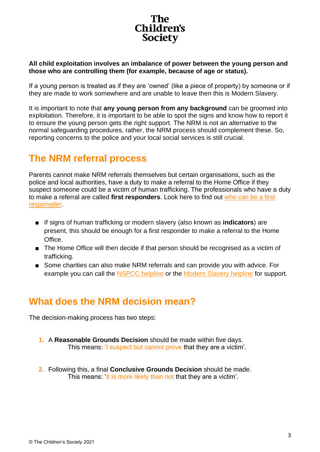## Children's **Society**

#### **All child exploitation involves an imbalance of power between the young person and those who are controlling them (for example, because of age or status).**

If a young person is treated as if they are 'owned' (like a piece of property) by someone or if they are made to work somewhere and are unable to leave then this is Modern Slavery.

It is important to note that **any young person from any background** can be groomed into exploitation. Therefore, it is important to be able to spot the signs and know how to report it to ensure the young person gets the right support. The NRM is not an alternative to the normal safeguarding procedures, rather, the NRM process should complement these. So, reporting concerns to the police and your local social services is still crucial.

#### **The NRM referral process**

Parents cannot make NRM referrals themselves but certain organisations, such as the police and local authorities, have a duty to make a referral to the Home Office if they suspect someone could be a victim of human trafficking. The professionals who have a duty to make a referral are called **first responders**. Look here to find out [who can be a first](https://www.gov.uk/government/publications/human-trafficking-victims-referral-and-assessment-forms/guidance-on-the-national-referral-mechanism-for-potential-adult-victims-of-modern-slavery-england-and-wales)  [responsder.](https://www.gov.uk/government/publications/human-trafficking-victims-referral-and-assessment-forms/guidance-on-the-national-referral-mechanism-for-potential-adult-victims-of-modern-slavery-england-and-wales)

- If signs of human trafficking or modern slavery (also known as **indicators**) are present, this should be enough for a first responder to make a referral to the Home Office.
- The Home Office will then decide if that person should be recognised as a victim of trafficking.
- Some charities can also make NRM referrals and can provide you with advice. For example you can call the [NSPCC helpline](https://www.nspcc.org.uk/keeping-children-safe/our-services/nspcc-helpline/) or the [Modern Slavery helpline](https://www.modernslaveryhelpline.org/) for support.

### **What does the NRM decision mean?**

The decision-making process has two steps:

- **1.** A **Reasonable Grounds Decision** should be made within five days. This means: 'I suspect but cannot prove that they are a victim'.
- **2.** Following this, a final **Conclusive Grounds Decision** should be made. This means: 'It is more likely than not that they are a victim'.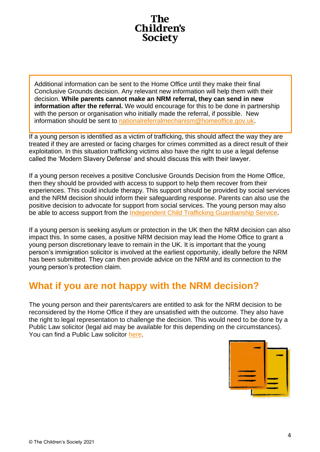

Additional information can be sent to the Home Office until they make their final Conclusive Grounds decision. Any relevant new information will help them with their decision. **While parents cannot make an NRM referral, they can send in new information after the referral.** We would encourage for this to be done in partnership with the person or organisation who initially made the referral, if possible. New information should be sent to nationalreferralmechanism@homeoffice.gov.uk.

If a young person is identified as a victim of trafficking, this should affect the way they are treated if they are arrested or facing charges for crimes committed as a direct result of their exploitation. In this situation trafficking victims also have the right to use a legal defense called the 'Modern Slavery Defense' and should discuss this with their lawyer.

If a young person receives a positive Conclusive Grounds Decision from the Home Office, then they should be provided with access to support to help them recover from their experiences. This could include therapy. This support should be provided by social services and the NRM decision should inform their safeguarding response. Parents can also use the positive decision to advocate for support from social services. The young person may also be able to access support from the [Independent Child Trafficking Guardianship Service.](https://www.barnardos.org.uk/what-we-do/protecting-children/trafficked-children)

If a young person is seeking asylum or protection in the UK then the NRM decision can also impact this. In some cases, a positive NRM decision may lead the Home Office to grant a young person discretionary leave to remain in the UK. It is important that the young person's immigration solicitor is involved at the earliest opportunity, ideally before the NRM has been submitted. They can then provide advice on the NRM and its connection to the young person's protection claim.

### **What if you are not happy with the NRM decision?**

The young person and their parents/carers are entitled to ask for the NRM decision to be reconsidered by the Home Office if they are unsatisfied with the outcome. They also have the right to legal representation to challenge the decision. This would need to be done by a Public Law solicitor (legal aid may be available for this depending on the circumstances). You can find a Public Law solicitor [here.](https://chambers.com/guide/uk?publicationTypeGroupId=1&practiceAreaId=429&subsectionTypeId=1&locationId=11805)